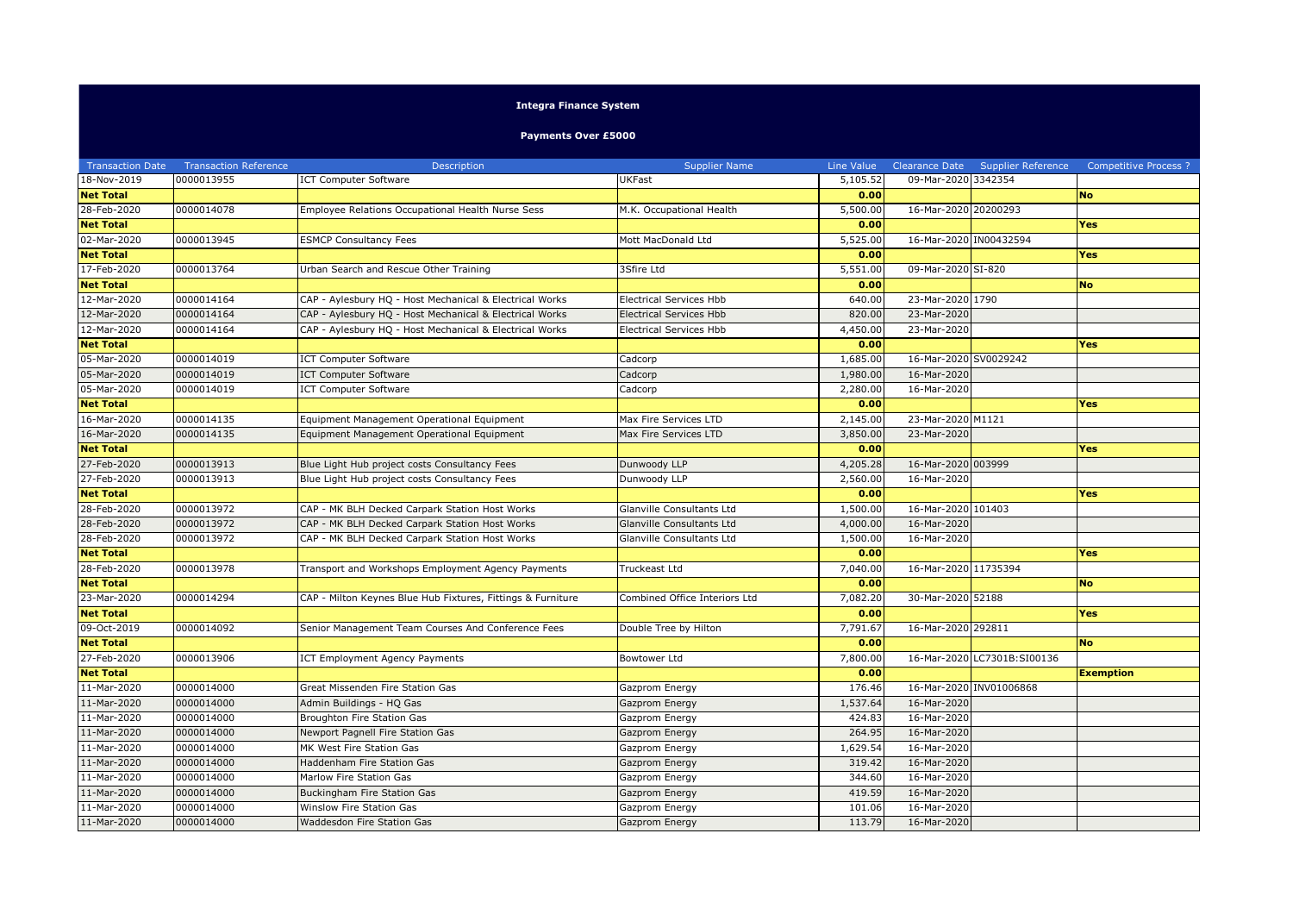## **Integra Finance System**

**Payments Over £5000**

| <b>Transaction Date</b> | <b>Transaction Reference</b> | Description                                                 | <b>Supplier Name</b>           | Line Value |                        | Clearance Date Supplier Reference | <b>Competitive Process ?</b> |
|-------------------------|------------------------------|-------------------------------------------------------------|--------------------------------|------------|------------------------|-----------------------------------|------------------------------|
| 18-Nov-2019             | 0000013955                   | <b>ICT Computer Software</b>                                | <b>UKFast</b>                  | 5,105.52   | 09-Mar-2020 3342354    |                                   |                              |
| <b>Net Total</b>        |                              |                                                             |                                | 0.00       |                        |                                   | <b>No</b>                    |
| 28-Feb-2020             | 0000014078                   | Employee Relations Occupational Health Nurse Sess           | M.K. Occupational Health       | 5,500.00   | 16-Mar-2020 20200293   |                                   |                              |
| <b>Net Total</b>        |                              |                                                             |                                | 0.00       |                        |                                   | Yes                          |
| 02-Mar-2020             | 0000013945                   | <b>ESMCP Consultancy Fees</b>                               | Mott MacDonald Ltd             | 5,525.00   | 16-Mar-2020 IN00432594 |                                   |                              |
| <b>Net Total</b>        |                              |                                                             |                                | 0.00       |                        |                                   | Yes                          |
| 17-Feb-2020             | 0000013764                   | Urban Search and Rescue Other Training                      | 3Sfire Ltd                     | 5,551.00   | 09-Mar-2020 SI-820     |                                   |                              |
| <b>Net Total</b>        |                              |                                                             |                                | 0.00       |                        |                                   | <b>No</b>                    |
| 12-Mar-2020             | 0000014164                   | CAP - Aylesbury HQ - Host Mechanical & Electrical Works     | <b>Electrical Services Hbb</b> | 640.00     | 23-Mar-2020 1790       |                                   |                              |
| 12-Mar-2020             | 0000014164                   | CAP - Aylesbury HQ - Host Mechanical & Electrical Works     | Electrical Services Hbb        | 820.00     | 23-Mar-2020            |                                   |                              |
| 12-Mar-2020             | 0000014164                   | CAP - Aylesbury HQ - Host Mechanical & Electrical Works     | Electrical Services Hbb        | 4,450.00   | 23-Mar-2020            |                                   |                              |
| <b>Net Total</b>        |                              |                                                             |                                | 0.00       |                        |                                   | Yes                          |
| 05-Mar-2020             | 0000014019                   | <b>ICT Computer Software</b>                                | Cadcorp                        | 1,685.00   | 16-Mar-2020 SV0029242  |                                   |                              |
| 05-Mar-2020             | 0000014019                   | <b>ICT Computer Software</b>                                | Cadcorp                        | 1,980.00   | 16-Mar-2020            |                                   |                              |
| 05-Mar-2020             | 0000014019                   | <b>ICT Computer Software</b>                                | Cadcorp                        | 2,280.00   | 16-Mar-2020            |                                   |                              |
| <b>Net Total</b>        |                              |                                                             |                                | 0.00       |                        |                                   | Yes                          |
| 16-Mar-2020             | 0000014135                   | Equipment Management Operational Equipment                  | Max Fire Services LTD          | 2,145.00   | 23-Mar-2020 M1121      |                                   |                              |
| 16-Mar-2020             | 0000014135                   | Equipment Management Operational Equipment                  | Max Fire Services LTD          | 3,850.00   | 23-Mar-2020            |                                   |                              |
| <b>Net Total</b>        |                              |                                                             |                                | 0.00       |                        |                                   | <b>Yes</b>                   |
| 27-Feb-2020             | 0000013913                   | Blue Light Hub project costs Consultancy Fees               | Dunwoody LLP                   | 4,205.28   | 16-Mar-2020 003999     |                                   |                              |
| 27-Feb-2020             | 0000013913                   | Blue Light Hub project costs Consultancy Fees               | Dunwoody LLP                   | 2,560.00   | 16-Mar-2020            |                                   |                              |
| <b>Net Total</b>        |                              |                                                             |                                | 0.00       |                        |                                   | Yes                          |
| 28-Feb-2020             | 0000013972                   | CAP - MK BLH Decked Carpark Station Host Works              | Glanville Consultants Ltd      | 1,500.00   | 16-Mar-2020 101403     |                                   |                              |
| 28-Feb-2020             | 0000013972                   | CAP - MK BLH Decked Carpark Station Host Works              | Glanville Consultants Ltd      | 4,000.00   | 16-Mar-2020            |                                   |                              |
| 28-Feb-2020             | 0000013972                   | CAP - MK BLH Decked Carpark Station Host Works              | Glanville Consultants Ltd      | 1,500.00   | 16-Mar-2020            |                                   |                              |
| <b>Net Total</b>        |                              |                                                             |                                | 0.00       |                        |                                   | <b>Yes</b>                   |
| 28-Feb-2020             | 0000013978                   | Transport and Workshops Employment Agency Payments          | Truckeast Ltd                  | 7,040.00   | 16-Mar-2020 11735394   |                                   |                              |
| <b>Net Total</b>        |                              |                                                             |                                | 0.00       |                        |                                   | <b>No</b>                    |
| 23-Mar-2020             | 0000014294                   | CAP - Milton Keynes Blue Hub Fixtures, Fittings & Furniture | Combined Office Interiors Ltd  | 7,082.20   | 30-Mar-2020 52188      |                                   |                              |
| <b>Net Total</b>        |                              |                                                             |                                | 0.00       |                        |                                   | Yes                          |
| 09-Oct-2019             | 0000014092                   | Senior Management Team Courses And Conference Fees          | Double Tree by Hilton          | 7,791.67   | 16-Mar-2020 292811     |                                   |                              |
| <b>Net Total</b>        |                              |                                                             |                                | 0.00       |                        |                                   | <b>No</b>                    |
| 27-Feb-2020             | 0000013906                   | ICT Employment Agency Payments                              | <b>Bowtower Ltd</b>            | 7,800.00   |                        | 16-Mar-2020 LC7301B:SI00136       |                              |
| <b>Net Total</b>        |                              |                                                             |                                | 0.00       |                        |                                   | <b>Exemption</b>             |
| 11-Mar-2020             | 0000014000                   | Great Missenden Fire Station Gas                            | Gazprom Energy                 | 176.46     |                        | 16-Mar-2020 INV01006868           |                              |
| 11-Mar-2020             | 0000014000                   | Admin Buildings - HQ Gas                                    | Gazprom Energy                 | 1,537.64   | 16-Mar-2020            |                                   |                              |
| 11-Mar-2020             | 0000014000                   | Broughton Fire Station Gas                                  | Gazprom Energy                 | 424.83     | 16-Mar-2020            |                                   |                              |
| 11-Mar-2020             | 0000014000                   | Newport Pagnell Fire Station Gas                            | Gazprom Energy                 | 264.95     | 16-Mar-2020            |                                   |                              |
| 11-Mar-2020             | 0000014000                   | MK West Fire Station Gas                                    | Gazprom Energy                 | 1,629.54   | 16-Mar-2020            |                                   |                              |
| 11-Mar-2020             | 0000014000                   | Haddenham Fire Station Gas                                  | Gazprom Energy                 | 319.42     | 16-Mar-2020            |                                   |                              |
| 11-Mar-2020             | 0000014000                   | Marlow Fire Station Gas                                     | Gazprom Energy                 | 344.60     | 16-Mar-2020            |                                   |                              |
| 11-Mar-2020             | 0000014000                   | Buckingham Fire Station Gas                                 | Gazprom Energy                 | 419.59     | 16-Mar-2020            |                                   |                              |
| 11-Mar-2020             | 0000014000                   | Winslow Fire Station Gas                                    | Gazprom Energy                 | 101.06     | 16-Mar-2020            |                                   |                              |
| 11-Mar-2020             | 0000014000                   | Waddesdon Fire Station Gas                                  | Gazprom Energy                 | 113.79     | 16-Mar-2020            |                                   |                              |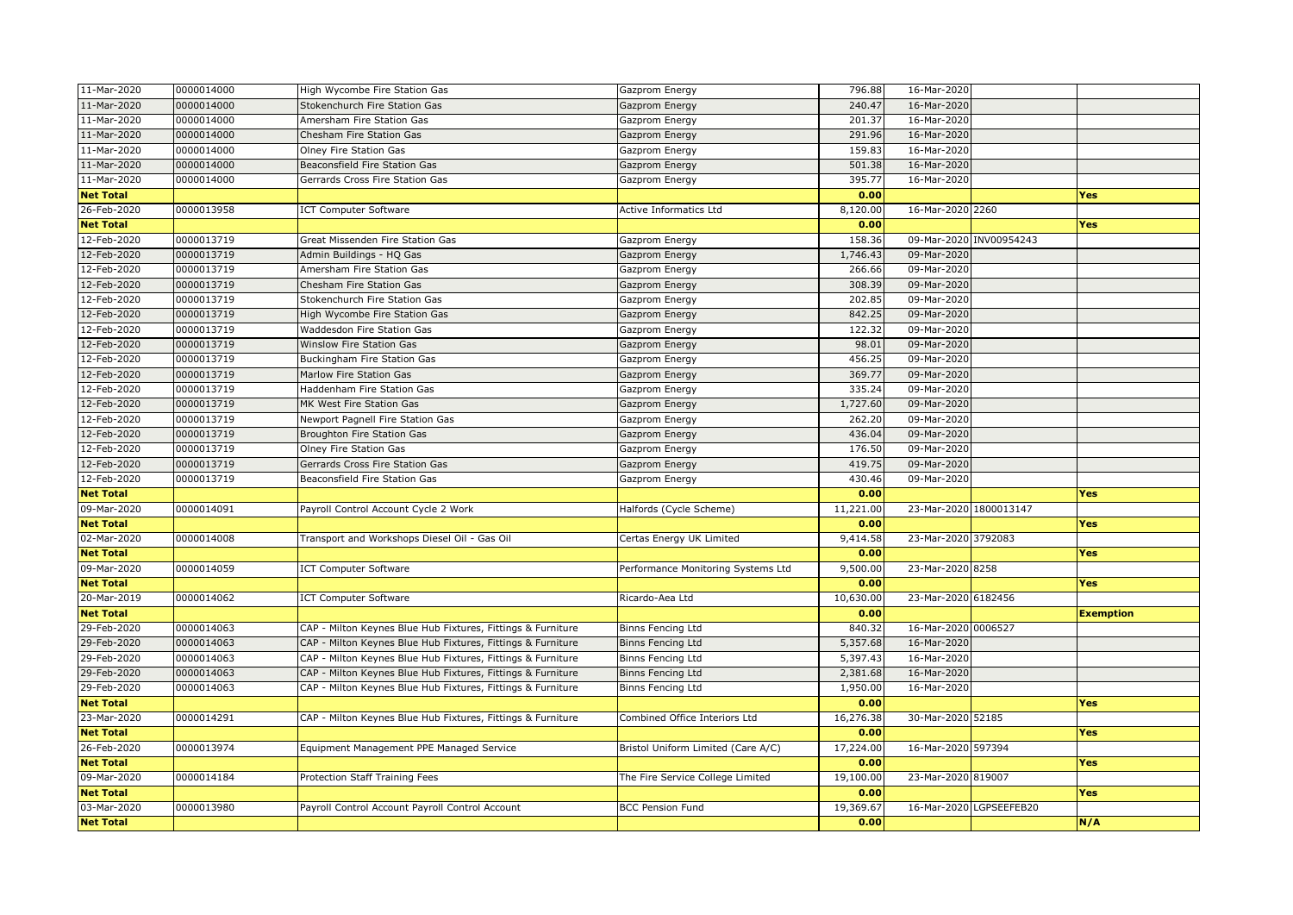| 11-Mar-2020      | 0000014000 | High Wycombe Fire Station Gas                               | Gazprom Energy                     | 796.88    | 16-Mar-2020            |                         |                  |
|------------------|------------|-------------------------------------------------------------|------------------------------------|-----------|------------------------|-------------------------|------------------|
| 11-Mar-2020      | 0000014000 | Stokenchurch Fire Station Gas                               | Gazprom Energy                     | 240.47    | 16-Mar-2020            |                         |                  |
| 11-Mar-2020      | 0000014000 | Amersham Fire Station Gas                                   | Gazprom Energy                     | 201.37    | 16-Mar-2020            |                         |                  |
| 11-Mar-2020      | 0000014000 | Chesham Fire Station Gas                                    | Gazprom Energy                     | 291.96    | 16-Mar-2020            |                         |                  |
| 11-Mar-2020      | 0000014000 | Olney Fire Station Gas                                      | Gazprom Energy                     | 159.83    | 16-Mar-2020            |                         |                  |
| 11-Mar-2020      | 0000014000 | Beaconsfield Fire Station Gas                               | Gazprom Energy                     | 501.38    | 16-Mar-2020            |                         |                  |
| 11-Mar-2020      | 0000014000 | Gerrards Cross Fire Station Gas                             | Gazprom Energy                     | 395.77    | 16-Mar-2020            |                         |                  |
| <b>Net Total</b> |            |                                                             |                                    | 0.00      |                        |                         | Yes              |
| 26-Feb-2020      | 0000013958 | <b>ICT Computer Software</b>                                | Active Informatics Ltd             | 8,120.00  | 16-Mar-2020 2260       |                         |                  |
| <b>Net Total</b> |            |                                                             |                                    | 0.00      |                        |                         | Yes              |
| 12-Feb-2020      | 0000013719 | Great Missenden Fire Station Gas                            | Gazprom Energy                     | 158.36    |                        | 09-Mar-2020 INV00954243 |                  |
| 12-Feb-2020      | 0000013719 | Admin Buildings - HQ Gas                                    | Gazprom Energy                     | 1,746.43  | 09-Mar-2020            |                         |                  |
| 12-Feb-2020      | 0000013719 | Amersham Fire Station Gas                                   | Gazprom Energy                     | 266.66    | 09-Mar-2020            |                         |                  |
| 12-Feb-2020      | 0000013719 | Chesham Fire Station Gas                                    | Gazprom Energy                     | 308.39    | 09-Mar-2020            |                         |                  |
| 12-Feb-2020      | 0000013719 | Stokenchurch Fire Station Gas                               | Gazprom Energy                     | 202.85    | 09-Mar-2020            |                         |                  |
| 12-Feb-2020      | 0000013719 | High Wycombe Fire Station Gas                               | Gazprom Energy                     | 842.25    | 09-Mar-2020            |                         |                  |
| 12-Feb-2020      | 0000013719 | Waddesdon Fire Station Gas                                  | Gazprom Energy                     | 122.32    | 09-Mar-2020            |                         |                  |
| 12-Feb-2020      | 0000013719 | Winslow Fire Station Gas                                    | Gazprom Energy                     | 98.01     | 09-Mar-2020            |                         |                  |
| 12-Feb-2020      | 0000013719 | Buckingham Fire Station Gas                                 | Gazprom Energy                     | 456.25    | 09-Mar-2020            |                         |                  |
| 12-Feb-2020      | 0000013719 | Marlow Fire Station Gas                                     | Gazprom Energy                     | 369.77    | 09-Mar-2020            |                         |                  |
| 12-Feb-2020      | 0000013719 | Haddenham Fire Station Gas                                  | Gazprom Energy                     | 335.24    | 09-Mar-2020            |                         |                  |
| 12-Feb-2020      | 0000013719 | MK West Fire Station Gas                                    | Gazprom Energy                     | 1,727.60  | 09-Mar-2020            |                         |                  |
| 12-Feb-2020      | 0000013719 | Newport Pagnell Fire Station Gas                            | Gazprom Energy                     | 262.20    | 09-Mar-2020            |                         |                  |
| 12-Feb-2020      | 0000013719 | Broughton Fire Station Gas                                  | Gazprom Energy                     | 436.04    | 09-Mar-2020            |                         |                  |
| 12-Feb-2020      | 0000013719 | Olney Fire Station Gas                                      | Gazprom Energy                     | 176.50    | 09-Mar-2020            |                         |                  |
| 12-Feb-2020      | 0000013719 | Gerrards Cross Fire Station Gas                             | Gazprom Energy                     | 419.75    | 09-Mar-2020            |                         |                  |
| $12$ -Feb-2020   | 0000013719 | Beaconsfield Fire Station Gas                               | Gazprom Energy                     | 430.46    | 09-Mar-2020            |                         |                  |
| <b>Net Total</b> |            |                                                             |                                    | 0.00      |                        |                         | Yes              |
| 09-Mar-2020      | 0000014091 | Payroll Control Account Cycle 2 Work                        | Halfords (Cycle Scheme)            | 11,221.00 | 23-Mar-2020 1800013147 |                         |                  |
| <b>Net Total</b> |            |                                                             |                                    | 0.00      |                        |                         | Yes              |
| $02 - $ Mar-2020 | 0000014008 | Transport and Workshops Diesel Oil - Gas Oil                | Certas Energy UK Limited           | 9,414.58  | 23-Mar-2020 3792083    |                         |                  |
| <b>Net Total</b> |            |                                                             |                                    | 0.00      |                        |                         | <b>Yes</b>       |
| 09-Mar-2020      | 0000014059 | <b>ICT Computer Software</b>                                | Performance Monitoring Systems Ltd | 9,500.00  | 23-Mar-2020 8258       |                         |                  |
| <b>Net Total</b> |            |                                                             |                                    | 0.00      |                        |                         | Yes              |
| 20-Mar-2019      | 0000014062 | <b>ICT Computer Software</b>                                | Ricardo-Aea Ltd                    | 10,630.00 | 23-Mar-2020 6182456    |                         |                  |
| <b>Net Total</b> |            |                                                             |                                    | 0.00      |                        |                         | <b>Exemption</b> |
| 29-Feb-2020      | 0000014063 | CAP - Milton Keynes Blue Hub Fixtures, Fittings & Furniture | Binns Fencing Ltd                  | 840.32    | 16-Mar-2020 0006527    |                         |                  |
| 29-Feb-2020      | 0000014063 | CAP - Milton Keynes Blue Hub Fixtures, Fittings & Furniture | <b>Binns Fencing Ltd</b>           | 5,357.68  | 16-Mar-2020            |                         |                  |
| 29-Feb-2020      | 0000014063 | CAP - Milton Keynes Blue Hub Fixtures, Fittings & Furniture | Binns Fencing Ltd                  | 5,397.43  | 16-Mar-2020            |                         |                  |
| 29-Feb-2020      | 0000014063 | CAP - Milton Keynes Blue Hub Fixtures, Fittings & Furniture | <b>Binns Fencing Ltd</b>           | 2,381.68  | 16-Mar-2020            |                         |                  |
| 29-Feb-2020      | 0000014063 | CAP - Milton Keynes Blue Hub Fixtures, Fittings & Furniture | Binns Fencing Ltd                  | 1,950.00  | 16-Mar-2020            |                         |                  |
| <b>Net Total</b> |            |                                                             |                                    | 0.00      |                        |                         | Yes              |
| 23-Mar-2020      | 0000014291 | CAP - Milton Keynes Blue Hub Fixtures, Fittings & Furniture | Combined Office Interiors Ltd      | 16,276.38 | 30-Mar-2020 52185      |                         |                  |
| <b>Net Total</b> |            |                                                             |                                    | 0.00      |                        |                         | Yes              |
| 26-Feb-2020      | 0000013974 | Equipment Management PPE Managed Service                    | Bristol Uniform Limited (Care A/C) | 17,224.00 | 16-Mar-2020 597394     |                         |                  |
| <b>Net Total</b> |            |                                                             |                                    | 0.00      |                        |                         | Yes              |
| 09-Mar-2020      | 0000014184 | Protection Staff Training Fees                              | The Fire Service College Limited   | 19,100.00 | 23-Mar-2020 819007     |                         |                  |
| <b>Net Total</b> |            |                                                             |                                    | 0.00      |                        |                         | Yes              |
| 03-Mar-2020      | 0000013980 | Payroll Control Account Payroll Control Account             | <b>BCC Pension Fund</b>            | 19,369.67 |                        | 16-Mar-2020 LGPSEEFEB20 |                  |
| <b>Net Total</b> |            |                                                             |                                    | 0.00      |                        |                         | N/A              |
|                  |            |                                                             |                                    |           |                        |                         |                  |